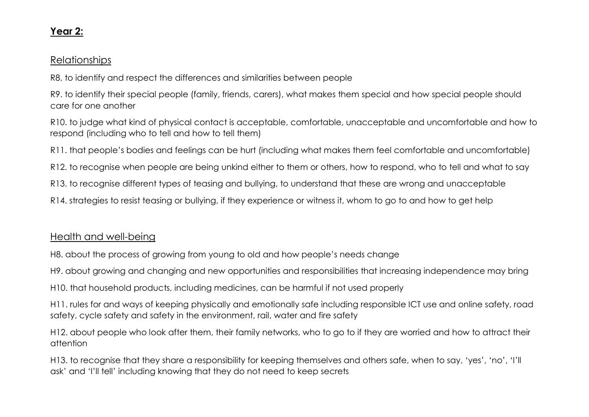## Year 2:

## Relationships

R8. to identify and respect the differences and similarities between people

R9. to identify their special people (family, friends, carers), what makes them special and how special people should care for one another

R10. to judge what kind of physical contact is acceptable, comfortable, unacceptable and uncomfortable and how to respond (including who to tell and how to tell them)

R11. that people's bodies and feelings can be hurt (including what makes them feel comfortable and uncomfortable)

R12. to recognise when people are being unkind either to them or others, how to respond, who to tell and what to say

R13. to recognise different types of teasing and bullying, to understand that these are wrong and unacceptable

R14. strategies to resist teasing or bullying, if they experience or witness it, whom to go to and how to get help

## Health and well-being

H8. about the process of growing from young to old and how people's needs change

H9. about growing and changing and new opportunities and responsibilities that increasing independence may bring

H10. that household products, including medicines, can be harmful if not used properly

H11. rules for and ways of keeping physically and emotionally safe including responsible ICT use and online safety, road safety, cycle safety and safety in the environment, rail, water and fire safety

H12. about people who look after them, their family networks, who to go to if they are worried and how to attract their attention

H13. to recognise that they share a responsibility for keeping themselves and others safe, when to say, 'yes', 'no', 'I'll ask' and 'I'll tell' including knowing that they do not need to keep secrets